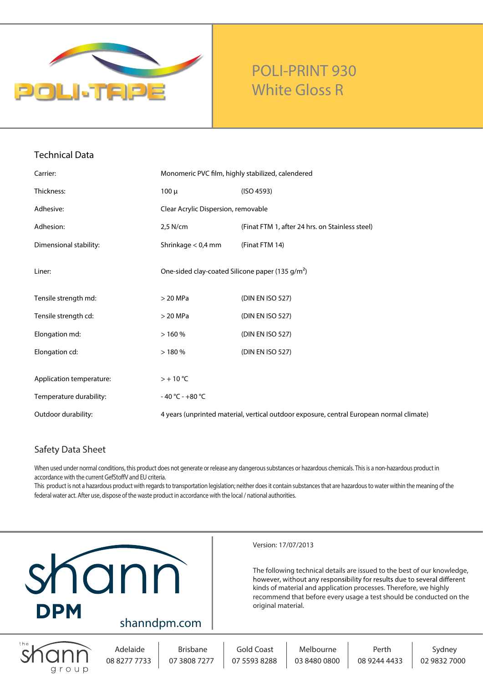

## **POLI-PRINT 930 White Gloss R**

| <b>Technical Data</b>    |                                                                                          |                                                 |
|--------------------------|------------------------------------------------------------------------------------------|-------------------------------------------------|
| Carrier:                 | Monomeric PVC film, highly stabilized, calendered                                        |                                                 |
| Thickness:               | $100 \mu$                                                                                | (ISO 4593)                                      |
| Adhesive:                | Clear Acrylic Dispersion, removable                                                      |                                                 |
| Adhesion:                | 2,5 N/cm                                                                                 | (Finat FTM 1, after 24 hrs. on Stainless steel) |
| Dimensional stability:   | Shrinkage $< 0.4$ mm                                                                     | (Finat FTM 14)                                  |
| Liner:                   | One-sided clay-coated Silicone paper (135 g/m <sup>2</sup> )                             |                                                 |
| Tensile strength md:     | $>$ 20 MPa                                                                               | (DIN EN ISO 527)                                |
| Tensile strength cd:     | $>$ 20 MPa                                                                               | (DIN EN ISO 527)                                |
| Elongation md:           | >160%                                                                                    | (DIN EN ISO 527)                                |
| Elongation cd:           | >180%                                                                                    | (DIN EN ISO 527)                                |
| Application temperature: | $> +10$ °C                                                                               |                                                 |
| Temperature durability:  | $-40 °C - +80 °C$                                                                        |                                                 |
| Outdoor durability:      | 4 years (unprinted material, vertical outdoor exposure, central European normal climate) |                                                 |

### **Safety Data Sheet**

When used under normal conditions, this product does not generate or release any dangerous substances or hazardous chemicals. Thisis a non-hazardous product in accordance with the current GefStoffV and EU criteria.

This product is not a hazardous product with regards to transportation legislation; neither does it contain substances that are hazardous to water within the meaning of the federal water act. After use, dispose of the waste product in accordance with the local / national authorities.